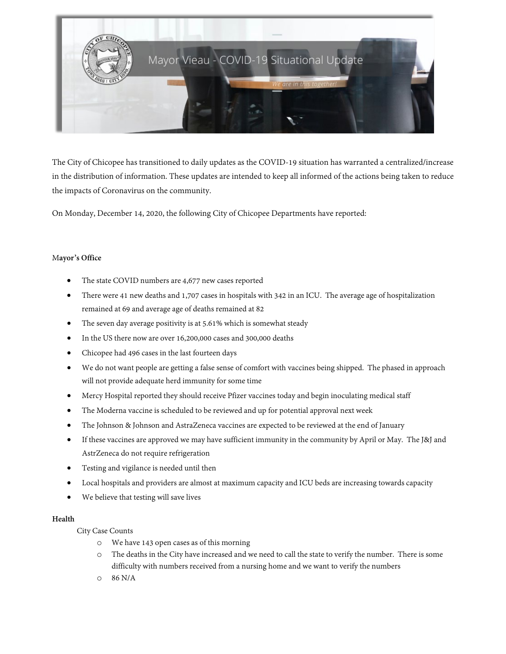

The City of Chicopee has transitioned to daily updates as the COVID-19 situation has warranted a centralized/increase in the distribution of information. These updates are intended to keep all informed of the actions being taken to reduce the impacts of Coronavirus on the community.

On Monday, December 14, 2020, the following City of Chicopee Departments have reported:

# M**ayor's Office**

- The state COVID numbers are 4,677 new cases reported
- There were 41 new deaths and 1,707 cases in hospitals with 342 in an ICU. The average age of hospitalization remained at 69 and average age of deaths remained at 82
- The seven day average positivity is at 5.61% which is somewhat steady
- In the US there now are over 16,200,000 cases and 300,000 deaths
- Chicopee had 496 cases in the last fourteen days
- We do not want people are getting a false sense of comfort with vaccines being shipped. The phased in approach will not provide adequate herd immunity for some time
- Mercy Hospital reported they should receive Pfizer vaccines today and begin inoculating medical staff
- The Moderna vaccine is scheduled to be reviewed and up for potential approval next week
- The Johnson & Johnson and AstraZeneca vaccines are expected to be reviewed at the end of January
- If these vaccines are approved we may have sufficient immunity in the community by April or May. The J&J and AstrZeneca do not require refrigeration
- Testing and vigilance is needed until then
- Local hospitals and providers are almost at maximum capacity and ICU beds are increasing towards capacity
- We believe that testing will save lives

### **Health**

### City Case Counts

- o We have 143 open cases as of this morning
- o The deaths in the City have increased and we need to call the state to verify the number. There is some difficulty with numbers received from a nursing home and we want to verify the numbers
- o 86 N/A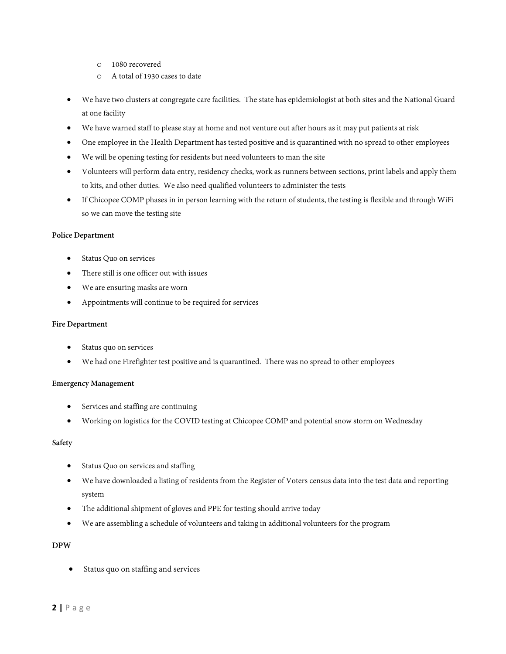- o 1080 recovered
- o A total of 1930 cases to date
- We have two clusters at congregate care facilities. The state has epidemiologist at both sites and the National Guard at one facility
- We have warned staff to please stay at home and not venture out after hours as it may put patients at risk
- One employee in the Health Department has tested positive and is quarantined with no spread to other employees
- We will be opening testing for residents but need volunteers to man the site
- Volunteers will perform data entry, residency checks, work as runners between sections, print labels and apply them to kits, and other duties. We also need qualified volunteers to administer the tests
- If Chicopee COMP phases in in person learning with the return of students, the testing is flexible and through WiFi so we can move the testing site

#### **Police Department**

- Status Quo on services
- There still is one officer out with issues
- We are ensuring masks are worn
- Appointments will continue to be required for services

#### **Fire Department**

- Status quo on services
- We had one Firefighter test positive and is quarantined. There was no spread to other employees

### **Emergency Management**

- Services and staffing are continuing
- Working on logistics for the COVID testing at Chicopee COMP and potential snow storm on Wednesday

### **Safety**

- Status Quo on services and staffing
- We have downloaded a listing of residents from the Register of Voters census data into the test data and reporting system
- The additional shipment of gloves and PPE for testing should arrive today
- We are assembling a schedule of volunteers and taking in additional volunteers for the program

### **DPW**

Status quo on staffing and services